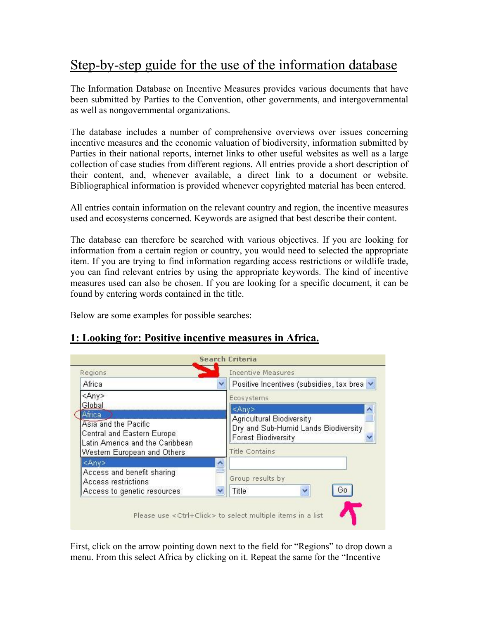## Step-by-step guide for the use of the information database

The Information Database on Incentive Measures provides various documents that have been submitted by Parties to the Convention, other governments, and intergovernmental as well as nongovernmental organizations.

The database includes a number of comprehensive overviews over issues concerning incentive measures and the economic valuation of biodiversity, information submitted by Parties in their national reports, internet links to other useful websites as well as a large collection of case studies from different regions. All entries provide a short description of their content, and, whenever available, a direct link to a document or website. Bibliographical information is provided whenever copyrighted material has been entered.

All entries contain information on the relevant country and region, the incentive measures used and ecosystems concerned. Keywords are asigned that best describe their content.

The database can therefore be searched with various objectives. If you are looking for information from a certain region or country, you would need to selected the appropriate item. If you are trying to find information regarding access restrictions or wildlife trade, you can find relevant entries by using the appropriate keywords. The kind of incentive measures used can also be chosen. If you are looking for a specific document, it can be found by entering words contained in the title.

Below are some examples for possible searches:

| Regions                                                                                                                         | <b>Incentive Measures</b>                                                 |                                            |  |
|---------------------------------------------------------------------------------------------------------------------------------|---------------------------------------------------------------------------|--------------------------------------------|--|
| Africa                                                                                                                          |                                                                           | Positive Incentives (subsidies, tax brea v |  |
| $<$ Any>                                                                                                                        | Ecosystems                                                                |                                            |  |
| Global                                                                                                                          | $<$ Any>                                                                  |                                            |  |
| Africa<br>Asia and the Pacific<br>Central and Eastern Europe.<br>Latin America and the Caribbean<br>Western European and Others | Agricultural Biodiversity<br><b>Forest Biodiversity</b><br>Title Contains | Dry and Sub-Humid Lands Biodiversity       |  |
| $<$ Any $>$                                                                                                                     | ∧                                                                         |                                            |  |
| Access and benefit sharing<br>Access restrictions<br>Access to genetic resources                                                | Group results by<br>Title                                                 | Gо                                         |  |

## **1: Looking for: Positive incentive measures in Africa.**

First, click on the arrow pointing down next to the field for "Regions" to drop down a menu. From this select Africa by clicking on it. Repeat the same for the "Incentive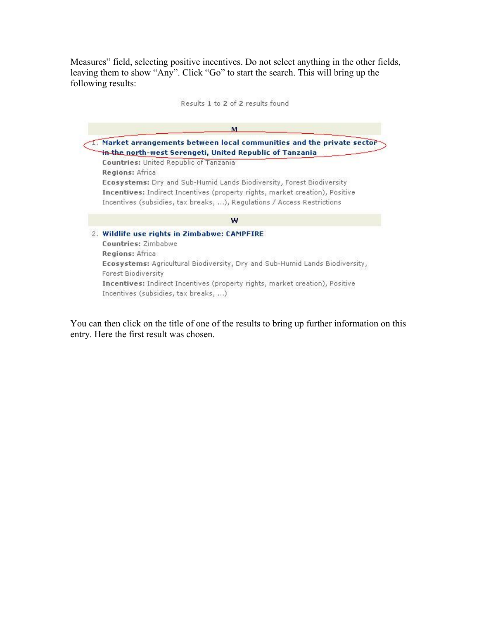Measures" field, selecting positive incentives. Do not select anything in the other fields, leaving them to show "Any". Click "Go" to start the search. This will bring up the following results:

Results 1 to 2 of 2 results found



You can then click on the title of one of the results to bring up further information on this entry. Here the first result was chosen.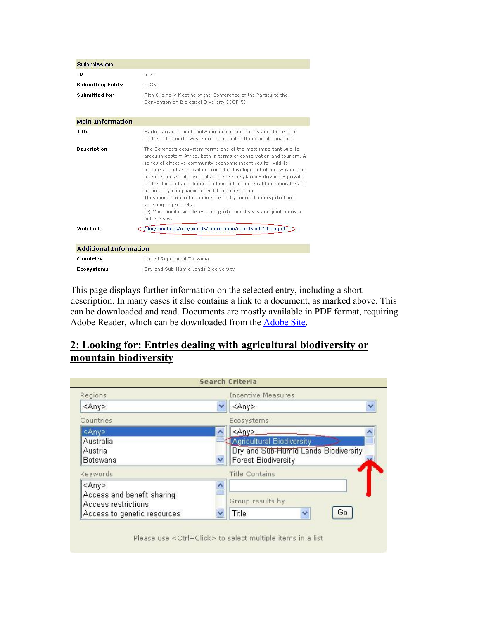| Submission                    |                                                                                                                                                                                                                                                                                                                                                                                                                                                                                                                                                                                                                                                                       |
|-------------------------------|-----------------------------------------------------------------------------------------------------------------------------------------------------------------------------------------------------------------------------------------------------------------------------------------------------------------------------------------------------------------------------------------------------------------------------------------------------------------------------------------------------------------------------------------------------------------------------------------------------------------------------------------------------------------------|
| ID                            | 5471                                                                                                                                                                                                                                                                                                                                                                                                                                                                                                                                                                                                                                                                  |
| <b>Submitting Entity</b>      | <b>IUCN</b>                                                                                                                                                                                                                                                                                                                                                                                                                                                                                                                                                                                                                                                           |
| <b>Submitted for</b>          | Fifth Ordinary Meeting of the Conference of the Parties to the<br>Convention on Biological Diversity (COP-5).                                                                                                                                                                                                                                                                                                                                                                                                                                                                                                                                                         |
| <b>Main Information</b>       |                                                                                                                                                                                                                                                                                                                                                                                                                                                                                                                                                                                                                                                                       |
| Title                         | Market arrangements between local communities and the private<br>sector in the north-west Serengeti, United Republic of Tanzania                                                                                                                                                                                                                                                                                                                                                                                                                                                                                                                                      |
| <b>Description</b>            | The Serengeti ecosystem forms one of the most important wildlife.<br>areas in eastern Africa, both in terms of conservation and tourism. A<br>series of effective community economic incentives for wildlife<br>conservation have resulted from the development of a new range of<br>markets for wildlife products and services, largely driven by private-<br>sector demand and the dependence of commercial tour-operators on<br>community compliance in wildlife conservation.<br>These include: (a) Revenue-sharing by tourist hunters; (b) Local<br>sourcing of products;<br>(c) Community wildlife-cropping; (d) Land-leases and joint tourism.<br>enterprises. |
| Web Link                      | /doc/meetings/cop/cop-05/information/cop-05-inf-14-en.pdf                                                                                                                                                                                                                                                                                                                                                                                                                                                                                                                                                                                                             |
| <b>Additional Information</b> |                                                                                                                                                                                                                                                                                                                                                                                                                                                                                                                                                                                                                                                                       |
| <b>Countries</b>              | United Republic of Tanzania                                                                                                                                                                                                                                                                                                                                                                                                                                                                                                                                                                                                                                           |
| <b>Ecosystems</b>             | Dry and Sub-Humid Lands Biodiversity                                                                                                                                                                                                                                                                                                                                                                                                                                                                                                                                                                                                                                  |
|                               |                                                                                                                                                                                                                                                                                                                                                                                                                                                                                                                                                                                                                                                                       |

This page displays further information on the selected entry, including a short description. In many cases it also contains a link to a document, as marked above. This can be downloaded and read. Documents are mostly available in PDF format, requiring Adobe Reader, which can be downloaded from the **Adobe Site**.

## **2: Looking for: Entries dealing with agricultural biodiversity or mountain biodiversity**

| Regions                     |   | <b>Incentive Measures</b>            |  |
|-----------------------------|---|--------------------------------------|--|
| <any></any>                 |   | <any></any>                          |  |
| Countries                   |   | Ecosystems                           |  |
| <any></any>                 | ヘ | <any></any>                          |  |
| Australia                   |   | <b>Agricultural Biodiversity</b>     |  |
| Austria                     |   | Dry and Sub-Humid Lands Biodiversity |  |
| Botswana                    |   | <b>Forest Biodiversity</b>           |  |
| Keywords                    |   | Title Contains                       |  |
| <any></any>                 |   |                                      |  |
| Access and benefit sharing  |   |                                      |  |
| Access restrictions         |   | Group results by                     |  |
| Access to genetic resources |   | Go<br>Title                          |  |